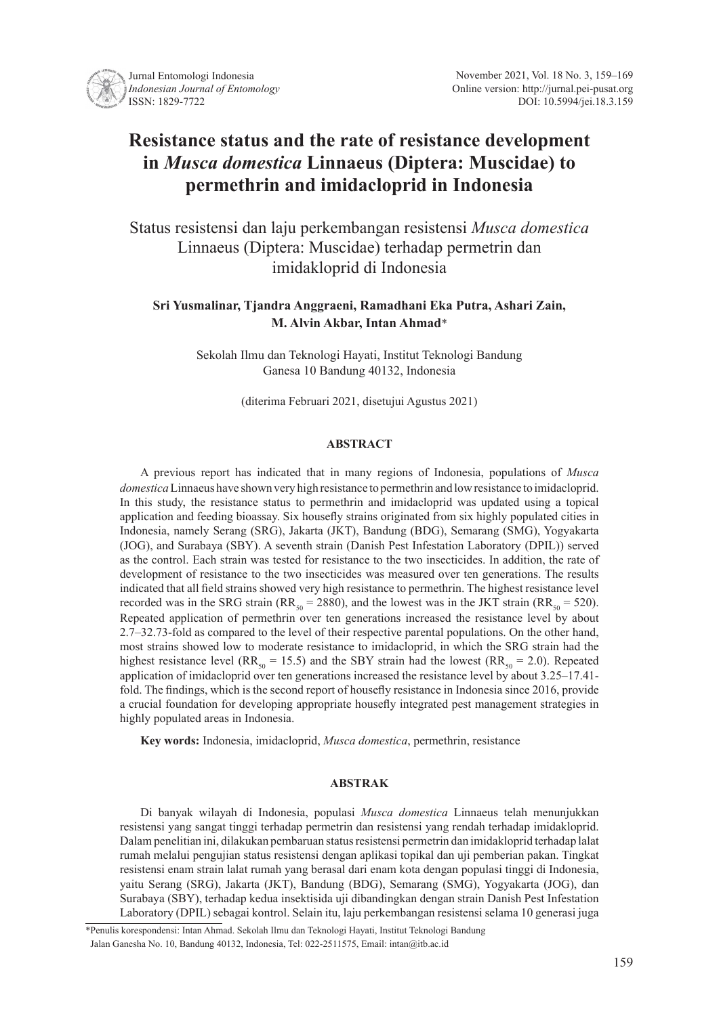

# **Resistance status and the rate of resistance development in** *Musca domestica* **Linnaeus (Diptera: Muscidae) to permethrin and imidacloprid in Indonesia**

Status resistensi dan laju perkembangan resistensi *Musca domestica*  Linnaeus (Diptera: Muscidae) terhadap permetrin dan imidakloprid di Indonesia

# **Sri Yusmalinar, Tjandra Anggraeni, Ramadhani Eka Putra, Ashari Zain, M. Alvin Akbar, Intan Ahmad**\*

Sekolah Ilmu dan Teknologi Hayati, Institut Teknologi Bandung Ganesa 10 Bandung 40132, Indonesia

(diterima Februari 2021, disetujui Agustus 2021)

## **ABSTRACT**

A previous report has indicated that in many regions of Indonesia, populations of *Musca domestica* Linnaeus have shown very high resistance to permethrin and low resistance to imidacloprid. In this study, the resistance status to permethrin and imidacloprid was updated using a topical application and feeding bioassay. Six housefly strains originated from six highly populated cities in Indonesia, namely Serang (SRG), Jakarta (JKT), Bandung (BDG), Semarang (SMG), Yogyakarta (JOG), and Surabaya (SBY). A seventh strain (Danish Pest Infestation Laboratory (DPIL)) served as the control. Each strain was tested for resistance to the two insecticides. In addition, the rate of development of resistance to the two insecticides was measured over ten generations. The results indicated that all field strains showed very high resistance to permethrin. The highest resistance level recorded was in the SRG strain (RR<sub>50</sub> = 2880), and the lowest was in the JKT strain (RR<sub>50</sub> = 520). Repeated application of permethrin over ten generations increased the resistance level by about 2.7–32.73-fold as compared to the level of their respective parental populations. On the other hand, most strains showed low to moderate resistance to imidacloprid, in which the SRG strain had the highest resistance level (RR<sub>50</sub> = 15.5) and the SBY strain had the lowest (RR<sub>50</sub> = 2.0). Repeated application of imidacloprid over ten generations increased the resistance level by about 3.25–17.41 fold. The findings, which is the second report of housefly resistance in Indonesia since 2016, provide a crucial foundation for developing appropriate housefly integrated pest management strategies in highly populated areas in Indonesia.

**Key words:** Indonesia, imidacloprid, *Musca domestica*, permethrin, resistance

## **ABSTRAK**

Di banyak wilayah di Indonesia, populasi *Musca domestica* Linnaeus telah menunjukkan resistensi yang sangat tinggi terhadap permetrin dan resistensi yang rendah terhadap imidakloprid. Dalam penelitian ini, dilakukan pembaruan status resistensi permetrin dan imidakloprid terhadap lalat rumah melalui pengujian status resistensi dengan aplikasi topikal dan uji pemberian pakan. Tingkat resistensi enam strain lalat rumah yang berasal dari enam kota dengan populasi tinggi di Indonesia, yaitu Serang (SRG), Jakarta (JKT), Bandung (BDG), Semarang (SMG), Yogyakarta (JOG), dan Surabaya (SBY), terhadap kedua insektisida uji dibandingkan dengan strain Danish Pest Infestation Laboratory (DPIL) sebagai kontrol. Selain itu, laju perkembangan resistensi selama 10 generasi juga

<sup>\*</sup>Penulis korespondensi: Intan Ahmad. Sekolah Ilmu dan Teknologi Hayati, Institut Teknologi Bandung Jalan Ganesha No. 10, Bandung 40132, Indonesia, Tel: 022-2511575, Email: intan@itb.ac.id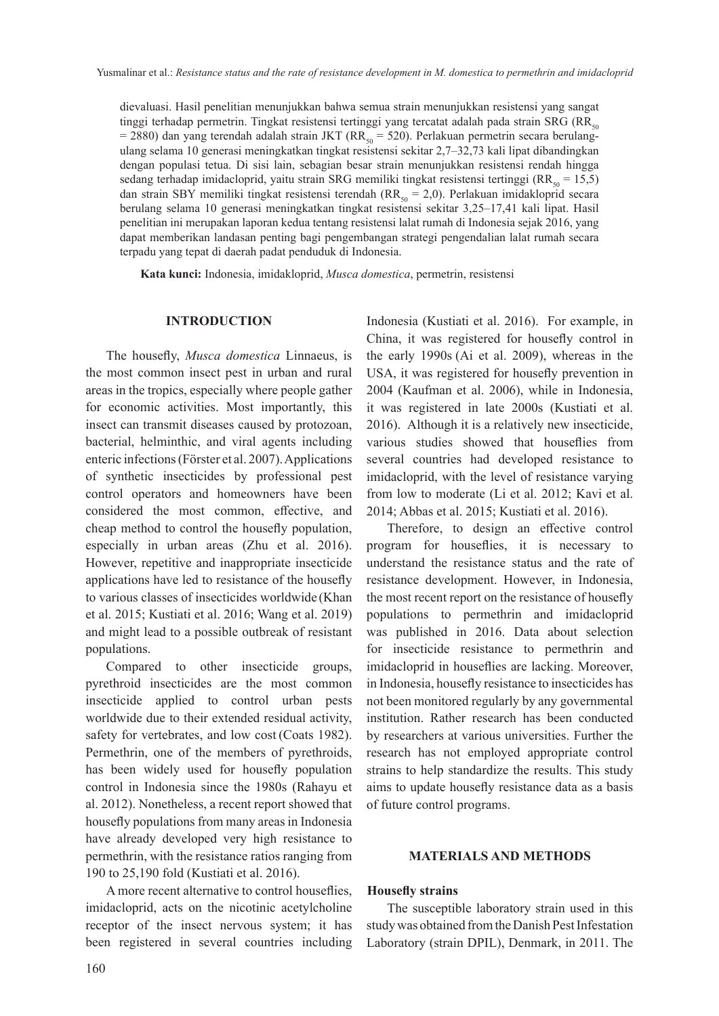dievaluasi. Hasil penelitian menunjukkan bahwa semua strain menunjukkan resistensi yang sangat tinggi terhadap permetrin. Tingkat resistensi tertinggi yang tercatat adalah pada strain SRG ( $RR_{s0}$  $= 2880$ ) dan yang terendah adalah strain JKT (RR<sub>50</sub> = 520). Perlakuan permetrin secara berulangulang selama 10 generasi meningkatkan tingkat resistensi sekitar 2,7–32,73 kali lipat dibandingkan dengan populasi tetua. Di sisi lain, sebagian besar strain menunjukkan resistensi rendah hingga sedang terhadap imidacloprid, yaitu strain SRG memiliki tingkat resistensi tertinggi ( $RR_{50} = 15,5$ ) dan strain SBY memiliki tingkat resistensi terendah ( $RR_{50} = 2,0$ ). Perlakuan imidakloprid secara berulang selama 10 generasi meningkatkan tingkat resistensi sekitar 3,25–17,41 kali lipat. Hasil penelitian ini merupakan laporan kedua tentang resistensi lalat rumah di Indonesia sejak 2016, yang dapat memberikan landasan penting bagi pengembangan strategi pengendalian lalat rumah secara terpadu yang tepat di daerah padat penduduk di Indonesia.

**Kata kunci:** Indonesia, imidakloprid, *Musca domestica*, permetrin, resistensi

#### **INTRODUCTION**

The housefly, *Musca domestica* Linnaeus, is the most common insect pest in urban and rural areas in the tropics, especially where people gather for economic activities. Most importantly, this insect can transmit diseases caused by protozoan, bacterial, helminthic, and viral agents including enteric infections (Förster et al. 2007). Applications of synthetic insecticides by professional pest control operators and homeowners have been considered the most common, effective, and cheap method to control the housefly population, especially in urban areas (Zhu et al. 2016). However, repetitive and inappropriate insecticide applications have led to resistance of the housefly to various classes of insecticides worldwide (Khan et al. 2015; Kustiati et al. 2016; Wang et al. 2019) and might lead to a possible outbreak of resistant populations.

Compared to other insecticide groups, pyrethroid insecticides are the most common insecticide applied to control urban pests worldwide due to their extended residual activity, safety for vertebrates, and low cost (Coats 1982). Permethrin, one of the members of pyrethroids, has been widely used for housefly population control in Indonesia since the 1980s (Rahayu et al. 2012). Nonetheless, a recent report showed that housefly populations from many areas in Indonesia have already developed very high resistance to permethrin, with the resistance ratios ranging from 190 to 25,190 fold (Kustiati et al. 2016).

A more recent alternative to control houseflies, imidacloprid, acts on the nicotinic acetylcholine receptor of the insect nervous system; it has been registered in several countries including

Indonesia (Kustiati et al. 2016). For example, in China, it was registered for housefly control in the early 1990s (Ai et al. 2009), whereas in the USA, it was registered for housefly prevention in 2004 (Kaufman et al. 2006), while in Indonesia, it was registered in late 2000s (Kustiati et al. 2016). Although it is a relatively new insecticide, various studies showed that houseflies from several countries had developed resistance to imidacloprid, with the level of resistance varying from low to moderate (Li et al. 2012; Kavi et al. 2014; Abbas et al. 2015; Kustiati et al. 2016).

Therefore, to design an effective control program for houseflies, it is necessary to understand the resistance status and the rate of resistance development. However, in Indonesia, the most recent report on the resistance of housefly populations to permethrin and imidacloprid was published in 2016. Data about selection for insecticide resistance to permethrin and imidacloprid in houseflies are lacking. Moreover, in Indonesia, housefly resistance to insecticides has not been monitored regularly by any governmental institution. Rather research has been conducted by researchers at various universities. Further the research has not employed appropriate control strains to help standardize the results. This study aims to update housefly resistance data as a basis of future control programs.

#### **MATERIALS AND METHODS**

## **Housefly strains**

The susceptible laboratory strain used in this study was obtained from the Danish Pest Infestation Laboratory (strain DPIL), Denmark, in 2011. The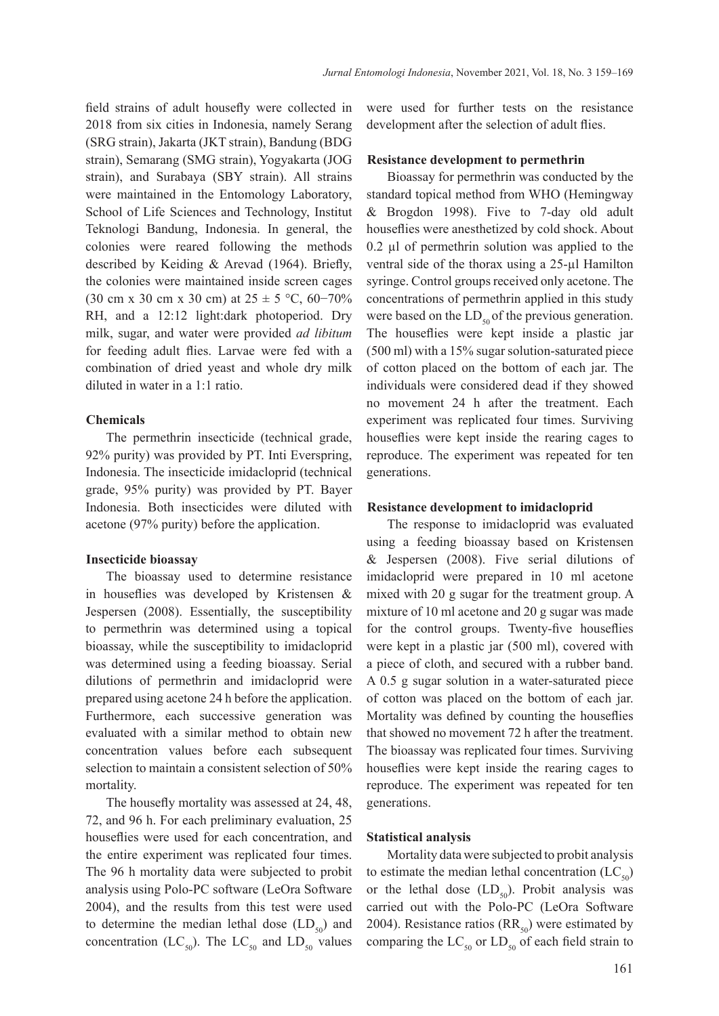field strains of adult housefly were collected in 2018 from six cities in Indonesia, namely Serang (SRG strain), Jakarta (JKT strain), Bandung (BDG strain), Semarang (SMG strain), Yogyakarta (JOG strain), and Surabaya (SBY strain). All strains were maintained in the Entomology Laboratory, School of Life Sciences and Technology, Institut Teknologi Bandung, Indonesia. In general, the colonies were reared following the methods described by Keiding & Arevad (1964). Briefly, the colonies were maintained inside screen cages (30 cm x 30 cm x 30 cm) at  $25 \pm 5$  °C, 60–70% RH, and a 12:12 light:dark photoperiod. Dry milk, sugar, and water were provided *ad libitum* for feeding adult flies. Larvae were fed with a combination of dried yeast and whole dry milk diluted in water in a 1:1 ratio.

## **Chemicals**

The permethrin insecticide (technical grade, 92% purity) was provided by PT. Inti Everspring, Indonesia. The insecticide imidacloprid (technical grade, 95% purity) was provided by PT. Bayer Indonesia. Both insecticides were diluted with acetone (97% purity) before the application.

#### **Insecticide bioassay**

The bioassay used to determine resistance in houseflies was developed by Kristensen & Jespersen (2008). Essentially, the susceptibility to permethrin was determined using a topical bioassay, while the susceptibility to imidacloprid was determined using a feeding bioassay. Serial dilutions of permethrin and imidacloprid were prepared using acetone 24 h before the application. Furthermore, each successive generation was evaluated with a similar method to obtain new concentration values before each subsequent selection to maintain a consistent selection of 50% mortality.

The housefly mortality was assessed at 24, 48, 72, and 96 h. For each preliminary evaluation, 25 houseflies were used for each concentration, and the entire experiment was replicated four times. The 96 h mortality data were subjected to probit analysis using Polo-PC software (LeOra Software 2004), and the results from this test were used to determine the median lethal dose  $(LD<sub>50</sub>)$  and concentration (LC<sub>50</sub>). The LC<sub>50</sub> and LD<sub>50</sub> values

were used for further tests on the resistance development after the selection of adult flies.

#### **Resistance development to permethrin**

Bioassay for permethrin was conducted by the standard topical method from WHO (Hemingway & Brogdon 1998). Five to 7-day old adult houseflies were anesthetized by cold shock. About  $0.2$   $\mu$ l of permethrin solution was applied to the ventral side of the thorax using a 25-µl Hamilton syringe. Control groups received only acetone. The concentrations of permethrin applied in this study were based on the  $LD_{50}$  of the previous generation. The houseflies were kept inside a plastic jar (500 ml) with a 15% sugar solution-saturated piece of cotton placed on the bottom of each jar. The individuals were considered dead if they showed no movement 24 h after the treatment. Each experiment was replicated four times. Surviving houseflies were kept inside the rearing cages to reproduce. The experiment was repeated for ten generations.

#### **Resistance development to imidacloprid**

The response to imidacloprid was evaluated using a feeding bioassay based on Kristensen & Jespersen (2008). Five serial dilutions of imidacloprid were prepared in 10 ml acetone mixed with 20 g sugar for the treatment group. A mixture of 10 ml acetone and 20 g sugar was made for the control groups. Twenty-five houseflies were kept in a plastic jar (500 ml), covered with a piece of cloth, and secured with a rubber band. A 0.5 g sugar solution in a water-saturated piece of cotton was placed on the bottom of each jar. Mortality was defined by counting the houseflies that showed no movement 72 h after the treatment. The bioassay was replicated four times. Surviving houseflies were kept inside the rearing cages to reproduce. The experiment was repeated for ten generations.

## **Statistical analysis**

Mortality data were subjected to probit analysis to estimate the median lethal concentration  $(LC_{50})$ or the lethal dose  $(LD_{50})$ . Probit analysis was carried out with the Polo-PC (LeOra Software 2004). Resistance ratios  $(RR_{50})$  were estimated by comparing the  $LC_{50}$  or  $LD_{50}$  of each field strain to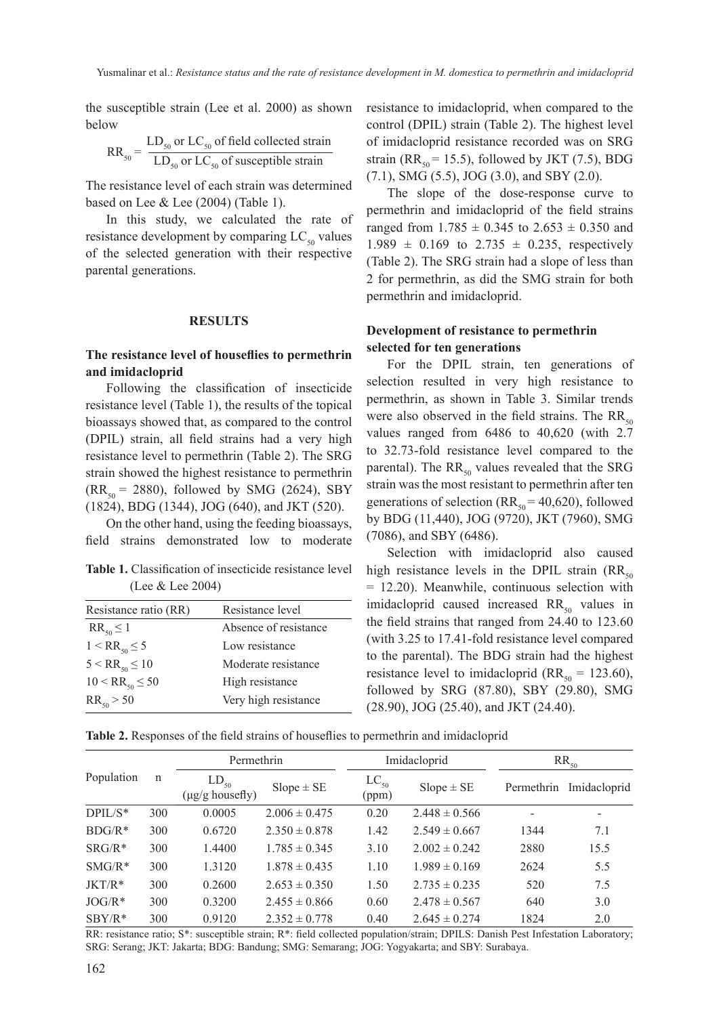the susceptible strain (Lee et al. 2000) as shown below

$$
RR_{50} = \frac{LD_{50} \text{ or } LC_{50} \text{ of field collected strain}}{LD_{50} \text{ or } LC_{50} \text{ of susceptible strain}}
$$

The resistance level of each strain was determined based on Lee & Lee (2004) (Table 1).

In this study, we calculated the rate of resistance development by comparing  $LC_{50}$  values of the selected generation with their respective parental generations.

#### **RESULTS**

## **The resistance level of houseflies to permethrin and imidacloprid**

Following the classification of insecticide resistance level (Table 1), the results of the topical bioassays showed that, as compared to the control (DPIL) strain, all field strains had a very high resistance level to permethrin (Table 2). The SRG strain showed the highest resistance to permethrin  $(RR<sub>50</sub> = 2880)$ , followed by SMG (2624), SBY (1824), BDG (1344), JOG (640), and JKT (520).

On the other hand, using the feeding bioassays, field strains demonstrated low to moderate

**Table 1.** Classification of insecticide resistance level (Lee & Lee 2004)

| Resistance ratio (RR)  | Resistance level      |
|------------------------|-----------------------|
| $RR_{50} \leq 1$       | Absence of resistance |
| $1 < RR_{50} \leq 5$   | Low resistance        |
| $5 < RR_{50} \leq 10$  | Moderate resistance   |
| $10 < RR_{50} \leq 50$ | High resistance       |
| $RR_{50} > 50$         | Very high resistance  |

resistance to imidacloprid, when compared to the control (DPIL) strain (Table 2). The highest level of imidacloprid resistance recorded was on SRG strain (RR<sub>50</sub> = 15.5), followed by JKT (7.5), BDG (7.1), SMG (5.5), JOG (3.0), and SBY (2.0).

The slope of the dose-response curve to permethrin and imidacloprid of the field strains ranged from  $1.785 \pm 0.345$  to  $2.653 \pm 0.350$  and  $1.989 \pm 0.169$  to  $2.735 \pm 0.235$ , respectively (Table 2). The SRG strain had a slope of less than 2 for permethrin, as did the SMG strain for both permethrin and imidacloprid.

# **Development of resistance to permethrin selected for ten generations**

For the DPIL strain, ten generations of selection resulted in very high resistance to permethrin, as shown in Table 3. Similar trends were also observed in the field strains. The  $RR_{50}$ values ranged from 6486 to 40,620 (with 2.7 to 32.73-fold resistance level compared to the parental). The  $RR_{50}$  values revealed that the SRG strain was the most resistant to permethrin after ten generations of selection ( $RR_{50} = 40,620$ ), followed by BDG (11,440), JOG (9720), JKT (7960), SMG (7086), and SBY (6486).

Selection with imidacloprid also caused high resistance levels in the DPIL strain  $(RR_{50})$ = 12.20). Meanwhile, continuous selection with imidacloprid caused increased  $RR<sub>50</sub>$  values in the field strains that ranged from 24.40 to 123.60 (with 3.25 to 17.41-fold resistance level compared to the parental). The BDG strain had the highest resistance level to imidacloprid ( $RR_{50} = 123.60$ ), followed by SRG (87.80), SBY (29.80), SMG (28.90), JOG (25.40), and JKT (24.40).

**Table 2.** Responses of the field strains of houseflies to permethrin and imidacloprid

|                  | $\mathbf n$ | Permethrin                                |                   |                    | Imidacloprid      | $RR_{50}$  |              |  |
|------------------|-------------|-------------------------------------------|-------------------|--------------------|-------------------|------------|--------------|--|
| Population       |             | $LD_{50}$<br>$(\mu g/g \text{ housefly})$ | $Slope \pm SE$    | $LC_{50}$<br>(ppm) | $Slope \pm SE$    | Permethrin | Imidacloprid |  |
| $DPIL/S^*$       | 300         | 0.0005                                    | $2.006 \pm 0.475$ | 0.20               | $2.448 \pm 0.566$ |            |              |  |
| $B\text{DG}/R^*$ | 300         | 0.6720                                    | $2.350 \pm 0.878$ | 1.42               | $2.549 \pm 0.667$ | 1344       | 7.1          |  |
| $SRG/R*$         | 300         | 1.4400                                    | $1.785 \pm 0.345$ | 3.10               | $2.002 \pm 0.242$ | 2880       | 15.5         |  |
| $SMG/R*$         | 300         | 1.3120                                    | $1.878 \pm 0.435$ | 1.10               | $1.989 \pm 0.169$ | 2624       | 5.5          |  |
| $JKT/R*$         | 300         | 0.2600                                    | $2.653 \pm 0.350$ | 1.50               | $2.735 \pm 0.235$ | 520        | 7.5          |  |
| $JOG/R*$         | 300         | 0.3200                                    | $2.455 \pm 0.866$ | 0.60               | $2.478 \pm 0.567$ | 640        | 3.0          |  |
| $SBY/R*$         | 300         | 0.9120                                    | $2.352 \pm 0.778$ | 0.40               | $2.645 \pm 0.274$ | 1824       | 2.0          |  |

RR: resistance ratio; S\*: susceptible strain; R\*: field collected population/strain; DPILS: Danish Pest Infestation Laboratory; SRG: Serang; JKT: Jakarta; BDG: Bandung; SMG: Semarang; JOG: Yogyakarta; and SBY: Surabaya.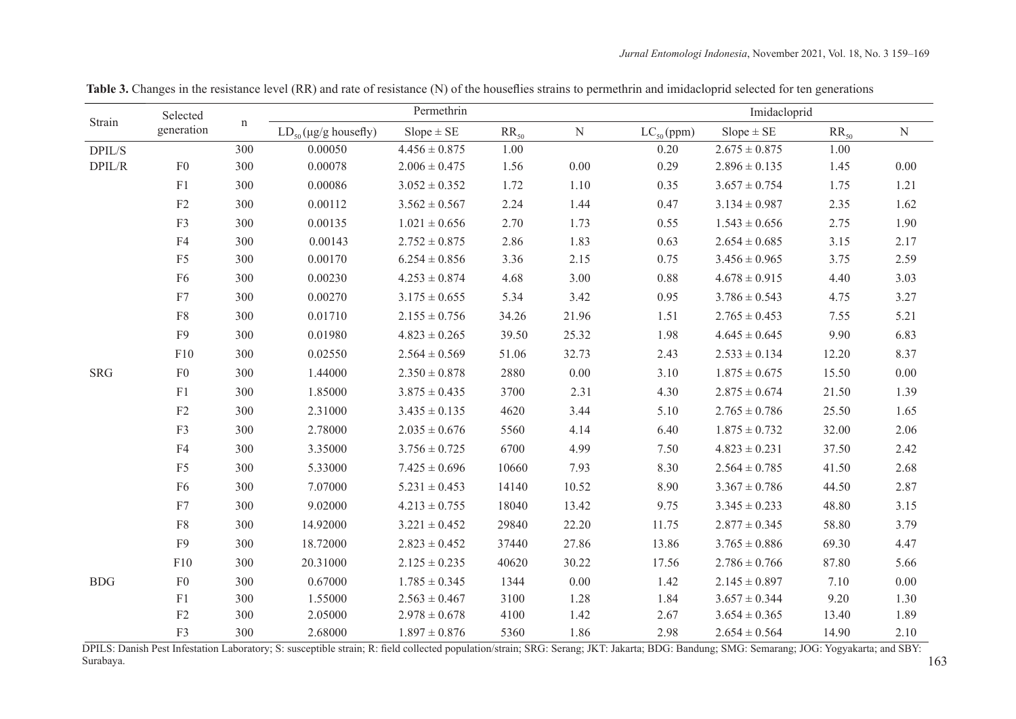| Strain     | Selected<br>generation |             | Permethrin                          |                   |           |           | Imidacloprid   |                   |           |           |
|------------|------------------------|-------------|-------------------------------------|-------------------|-----------|-----------|----------------|-------------------|-----------|-----------|
|            |                        | $\mathbf n$ | $LD_{50}(\mu g/g \text{ housefly})$ | $Slope \pm SE$    | $RR_{50}$ | ${\bf N}$ | $LC_{50}(ppm)$ | $Slope \pm SE$    | $RR_{50}$ | ${\bf N}$ |
| DPIL/S     |                        | 300         | 0.00050                             | $4.456 \pm 0.875$ | 1.00      |           | 0.20           | $2.675 \pm 0.875$ | 1.00      |           |
| DPIL/R     | ${\rm F}0$             | 300         | 0.00078                             | $2.006 \pm 0.475$ | 1.56      | $0.00\,$  | 0.29           | $2.896 \pm 0.135$ | 1.45      | $0.00\,$  |
|            | F1                     | 300         | 0.00086                             | $3.052 \pm 0.352$ | 1.72      | 1.10      | 0.35           | $3.657 \pm 0.754$ | 1.75      | 1.21      |
|            | $\rm F2$               | 300         | 0.00112                             | $3.562 \pm 0.567$ | 2.24      | 1.44      | 0.47           | $3.134 \pm 0.987$ | 2.35      | 1.62      |
|            | F3                     | 300         | 0.00135                             | $1.021 \pm 0.656$ | 2.70      | 1.73      | 0.55           | $1.543 \pm 0.656$ | 2.75      | 1.90      |
|            | F <sub>4</sub>         | 300         | 0.00143                             | $2.752 \pm 0.875$ | 2.86      | 1.83      | 0.63           | $2.654\pm0.685$   | 3.15      | 2.17      |
|            | ${\rm F}5$             | 300         | 0.00170                             | $6.254 \pm 0.856$ | 3.36      | 2.15      | 0.75           | $3.456 \pm 0.965$ | 3.75      | 2.59      |
|            | F <sub>6</sub>         | 300         | 0.00230                             | $4.253 \pm 0.874$ | 4.68      | 3.00      | 0.88           | $4.678 \pm 0.915$ | 4.40      | 3.03      |
|            | ${\rm F}7$             | 300         | 0.00270                             | $3.175 \pm 0.655$ | 5.34      | 3.42      | 0.95           | $3.786 \pm 0.543$ | 4.75      | 3.27      |
|            | ${\rm F}8$             | 300         | 0.01710                             | $2.155 \pm 0.756$ | 34.26     | 21.96     | 1.51           | $2.765 \pm 0.453$ | 7.55      | 5.21      |
|            | F <sub>9</sub>         | 300         | 0.01980                             | $4.823 \pm 0.265$ | 39.50     | 25.32     | 1.98           | $4.645 \pm 0.645$ | 9.90      | 6.83      |
|            | F10                    | 300         | 0.02550                             | $2.564 \pm 0.569$ | 51.06     | 32.73     | 2.43           | $2.533 \pm 0.134$ | 12.20     | 8.37      |
| <b>SRG</b> | ${\rm F}0$             | 300         | 1.44000                             | $2.350 \pm 0.878$ | 2880      | 0.00      | 3.10           | $1.875 \pm 0.675$ | 15.50     | $0.00\,$  |
|            | F1                     | 300         | 1.85000                             | $3.875 \pm 0.435$ | 3700      | 2.31      | 4.30           | $2.875 \pm 0.674$ | 21.50     | 1.39      |
|            | ${\rm F2}$             | 300         | 2.31000                             | $3.435 \pm 0.135$ | 4620      | 3.44      | 5.10           | $2.765 \pm 0.786$ | 25.50     | 1.65      |
|            | F3                     | 300         | 2.78000                             | $2.035 \pm 0.676$ | 5560      | 4.14      | 6.40           | $1.875 \pm 0.732$ | 32.00     | 2.06      |
|            | F4                     | 300         | 3.35000                             | $3.756 \pm 0.725$ | 6700      | 4.99      | 7.50           | $4.823 \pm 0.231$ | 37.50     | 2.42      |
|            | F <sub>5</sub>         | 300         | 5.33000                             | $7.425 \pm 0.696$ | 10660     | 7.93      | 8.30           | $2.564 \pm 0.785$ | 41.50     | 2.68      |
|            | F <sub>6</sub>         | 300         | 7.07000                             | $5.231 \pm 0.453$ | 14140     | 10.52     | 8.90           | $3.367 \pm 0.786$ | 44.50     | 2.87      |
|            | ${\rm F7}$             | 300         | 9.02000                             | $4.213 \pm 0.755$ | 18040     | 13.42     | 9.75           | $3.345 \pm 0.233$ | 48.80     | 3.15      |
|            | ${\rm F}8$             | 300         | 14.92000                            | $3.221 \pm 0.452$ | 29840     | 22.20     | 11.75          | $2.877 \pm 0.345$ | 58.80     | 3.79      |
|            | F9                     | 300         | 18.72000                            | $2.823 \pm 0.452$ | 37440     | 27.86     | 13.86          | $3.765\pm0.886$   | 69.30     | 4.47      |
|            | F10                    | 300         | 20.31000                            | $2.125 \pm 0.235$ | 40620     | 30.22     | 17.56          | $2.786 \pm 0.766$ | 87.80     | 5.66      |
| <b>BDG</b> | ${\rm F0}$             | 300         | 0.67000                             | $1.785 \pm 0.345$ | 1344      | 0.00      | 1.42           | $2.145 \pm 0.897$ | 7.10      | $0.00\,$  |
|            | F1                     | 300         | 1.55000                             | $2.563 \pm 0.467$ | 3100      | 1.28      | 1.84           | $3.657 \pm 0.344$ | 9.20      | 1.30      |
|            | ${\rm F2}$             | 300         | 2.05000                             | $2.978 \pm 0.678$ | 4100      | 1.42      | 2.67           | $3.654 \pm 0.365$ | 13.40     | 1.89      |
|            | F3                     | 300         | 2.68000                             | $1.897 \pm 0.876$ | 5360      | 1.86      | 2.98           | $2.654 \pm 0.564$ | 14.90     | 2.10      |

Table 3. Changes in the resistance level (RR) and rate of resistance (N) of the houseflies strains to permethrin and imidacloprid selected for ten generations

DPILS: Danish Pest Infestation Laboratory; S: susceptible strain; R: field collected population/strain; SRG: Serang; JKT: Jakarta; BDG: Bandung; SMG: Semarang; JOG: Yogyakarta; and SBY: Surabaya.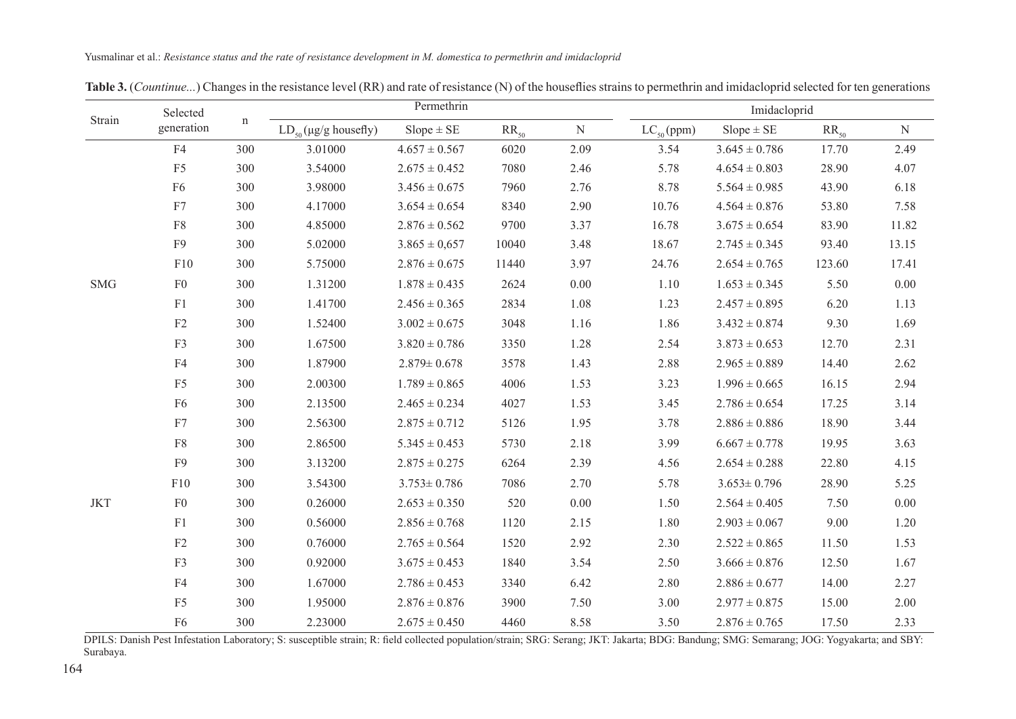| Strain               | Selected<br>generation | $\mathbf n$ | Permethrin                          |                   |           |           | Imidacloprid   |                   |           |           |
|----------------------|------------------------|-------------|-------------------------------------|-------------------|-----------|-----------|----------------|-------------------|-----------|-----------|
|                      |                        |             | $LD_{50}(\mu g/g \text{ housefly})$ | $Slope \pm SE$    | $RR_{50}$ | ${\bf N}$ | $LC_{50}(ppm)$ | $Slope \pm SE$    | $RR_{50}$ | ${\bf N}$ |
|                      | F4                     | 300         | 3.01000                             | $4.657 \pm 0.567$ | 6020      | 2.09      | 3.54           | $3.645 \pm 0.786$ | 17.70     | 2.49      |
|                      | F <sub>5</sub>         | 300         | 3.54000                             | $2.675 \pm 0.452$ | 7080      | 2.46      | 5.78           | $4.654 \pm 0.803$ | 28.90     | 4.07      |
|                      | F <sub>6</sub>         | 300         | 3.98000                             | $3.456 \pm 0.675$ | 7960      | 2.76      | 8.78           | $5.564 \pm 0.985$ | 43.90     | 6.18      |
|                      | ${\rm F7}$             | 300         | 4.17000                             | $3.654 \pm 0.654$ | 8340      | 2.90      | 10.76          | $4.564 \pm 0.876$ | 53.80     | 7.58      |
|                      | ${\rm F}8$             | 300         | 4.85000                             | $2.876 \pm 0.562$ | 9700      | 3.37      | 16.78          | $3.675 \pm 0.654$ | 83.90     | 11.82     |
|                      | F <sub>9</sub>         | 300         | 5.02000                             | $3.865 \pm 0.657$ | 10040     | 3.48      | 18.67          | $2.745 \pm 0.345$ | 93.40     | 13.15     |
|                      | F10                    | 300         | 5.75000                             | $2.876 \pm 0.675$ | 11440     | 3.97      | 24.76          | $2.654 \pm 0.765$ | 123.60    | 17.41     |
| $\operatorname{SMG}$ | ${\rm F0}$             | 300         | 1.31200                             | $1.878 \pm 0.435$ | 2624      | $0.00\,$  | 1.10           | $1.653 \pm 0.345$ | 5.50      | $0.00\,$  |
|                      | F1                     | 300         | 1.41700                             | $2.456 \pm 0.365$ | 2834      | 1.08      | 1.23           | $2.457 \pm 0.895$ | 6.20      | 1.13      |
|                      | F2                     | 300         | 1.52400                             | $3.002 \pm 0.675$ | 3048      | 1.16      | 1.86           | $3.432 \pm 0.874$ | 9.30      | 1.69      |
|                      | F3                     | 300         | 1.67500                             | $3.820 \pm 0.786$ | 3350      | 1.28      | 2.54           | $3.873 \pm 0.653$ | 12.70     | 2.31      |
|                      | F4                     | 300         | 1.87900                             | $2.879 \pm 0.678$ | 3578      | 1.43      | 2.88           | $2.965 \pm 0.889$ | 14.40     | 2.62      |
|                      | F <sub>5</sub>         | 300         | 2.00300                             | $1.789 \pm 0.865$ | 4006      | 1.53      | 3.23           | $1.996 \pm 0.665$ | 16.15     | 2.94      |
|                      | F <sub>6</sub>         | 300         | 2.13500                             | $2.465 \pm 0.234$ | 4027      | 1.53      | 3.45           | $2.786 \pm 0.654$ | 17.25     | 3.14      |
|                      | F7                     | 300         | 2.56300                             | $2.875 \pm 0.712$ | 5126      | 1.95      | 3.78           | $2.886 \pm 0.886$ | 18.90     | 3.44      |
|                      | ${\rm F}8$             | 300         | 2.86500                             | $5.345 \pm 0.453$ | 5730      | 2.18      | 3.99           | $6.667 \pm 0.778$ | 19.95     | 3.63      |
|                      | F <sub>9</sub>         | 300         | 3.13200                             | $2.875 \pm 0.275$ | 6264      | 2.39      | 4.56           | $2.654 \pm 0.288$ | 22.80     | 4.15      |
|                      | F10                    | 300         | 3.54300                             | $3.753 \pm 0.786$ | 7086      | 2.70      | 5.78           | $3.653 \pm 0.796$ | 28.90     | 5.25      |
| <b>JKT</b>           | F <sub>0</sub>         | 300         | 0.26000                             | $2.653 \pm 0.350$ | 520       | $0.00\,$  | 1.50           | $2.564 \pm 0.405$ | 7.50      | 0.00      |
|                      | F1                     | 300         | 0.56000                             | $2.856 \pm 0.768$ | 1120      | 2.15      | 1.80           | $2.903 \pm 0.067$ | 9.00      | 1.20      |
|                      | F2                     | 300         | 0.76000                             | $2.765 \pm 0.564$ | 1520      | 2.92      | 2.30           | $2.522 \pm 0.865$ | 11.50     | 1.53      |
|                      | F3                     | 300         | 0.92000                             | $3.675 \pm 0.453$ | 1840      | 3.54      | 2.50           | $3.666 \pm 0.876$ | 12.50     | 1.67      |
|                      | F4                     | 300         | 1.67000                             | $2.786 \pm 0.453$ | 3340      | 6.42      | 2.80           | $2.886 \pm 0.677$ | 14.00     | 2.27      |
|                      | F <sub>5</sub>         | 300         | 1.95000                             | $2.876 \pm 0.876$ | 3900      | 7.50      | 3.00           | $2.977 \pm 0.875$ | 15.00     | 2.00      |
|                      | F <sub>6</sub>         | 300         | 2.23000                             | $2.675 \pm 0.450$ | 4460      | 8.58      | 3.50           | $2.876 \pm 0.765$ | 17.50     | 2.33      |

Table 3. (*Countinue...*) Changes in the resistance level (RR) and rate of resistance (N) of the houseflies strains to permethrin and imidacloprid selected for ten generations

DPILS: Danish Pest Infestation Laboratory; S: susceptible strain; R: field collected population/strain; SRG: Serang; JKT: Jakarta; BDG: Bandung; SMG: Semarang; JOG: Yogyakarta; and SBY: Surabaya.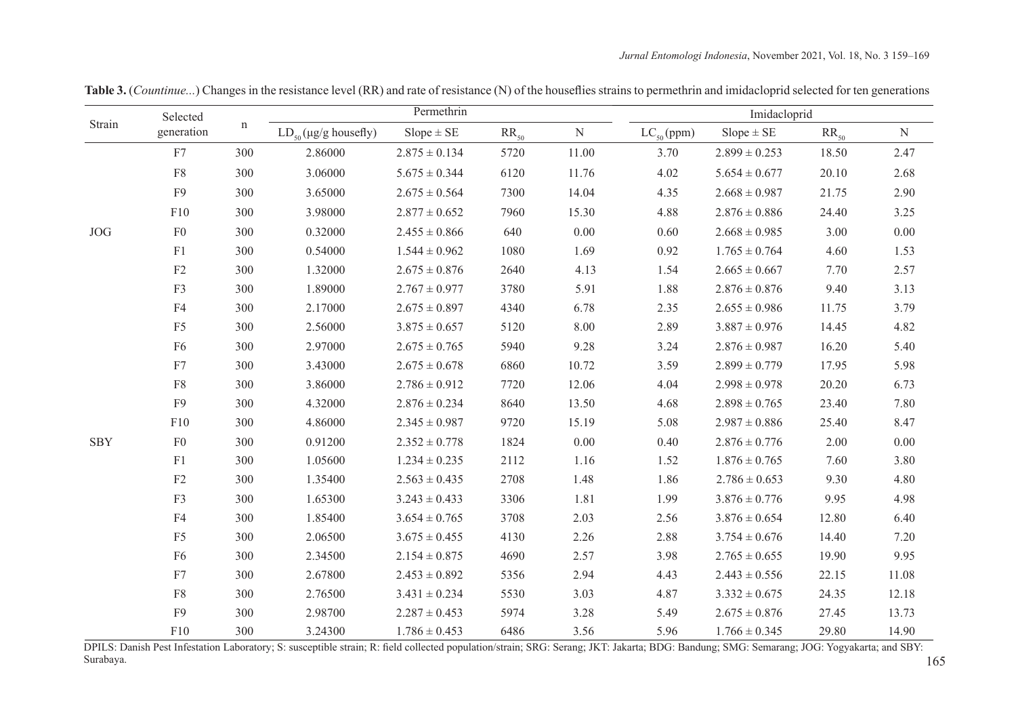|            | Selected       | $\mathbf n$ | Permethrin                          |                   |           |           | Imidacloprid   |                   |           |           |
|------------|----------------|-------------|-------------------------------------|-------------------|-----------|-----------|----------------|-------------------|-----------|-----------|
| Strain     | generation     |             | $LD_{50}(\mu g/g \text{ housefly})$ | $Slope \pm SE$    | $RR_{50}$ | ${\bf N}$ | $LC_{50}(ppm)$ | $Slope \pm SE$    | $RR_{50}$ | ${\bf N}$ |
|            | F7             | 300         | 2.86000                             | $2.875 \pm 0.134$ | 5720      | 11.00     | 3.70           | $2.899 \pm 0.253$ | 18.50     | 2.47      |
|            | ${\rm F}8$     | 300         | 3.06000                             | $5.675 \pm 0.344$ | 6120      | 11.76     | 4.02           | $5.654 \pm 0.677$ | 20.10     | 2.68      |
|            | F <sub>9</sub> | 300         | 3.65000                             | $2.675 \pm 0.564$ | 7300      | 14.04     | 4.35           | $2.668 \pm 0.987$ | 21.75     | 2.90      |
|            | F10            | 300         | 3.98000                             | $2.877 \pm 0.652$ | 7960      | 15.30     | 4.88           | $2.876 \pm 0.886$ | 24.40     | 3.25      |
| <b>JOG</b> | F <sub>0</sub> | 300         | 0.32000                             | $2.455 \pm 0.866$ | 640       | 0.00      | 0.60           | $2.668 \pm 0.985$ | 3.00      | 0.00      |
|            | F1             | 300         | 0.54000                             | $1.544 \pm 0.962$ | 1080      | 1.69      | 0.92           | $1.765 \pm 0.764$ | 4.60      | 1.53      |
|            | $\rm F2$       | 300         | 1.32000                             | $2.675 \pm 0.876$ | 2640      | 4.13      | 1.54           | $2.665 \pm 0.667$ | 7.70      | 2.57      |
|            | F3             | 300         | 1.89000                             | $2.767 \pm 0.977$ | 3780      | 5.91      | 1.88           | $2.876 \pm 0.876$ | 9.40      | 3.13      |
|            | F <sub>4</sub> | 300         | 2.17000                             | $2.675 \pm 0.897$ | 4340      | 6.78      | 2.35           | $2.655 \pm 0.986$ | 11.75     | 3.79      |
|            | F <sub>5</sub> | 300         | 2.56000                             | $3.875 \pm 0.657$ | 5120      | 8.00      | 2.89           | $3.887 \pm 0.976$ | 14.45     | 4.82      |
|            | F <sub>6</sub> | 300         | 2.97000                             | $2.675 \pm 0.765$ | 5940      | 9.28      | 3.24           | $2.876 \pm 0.987$ | 16.20     | 5.40      |
|            | ${\rm F}7$     | 300         | 3.43000                             | $2.675 \pm 0.678$ | 6860      | 10.72     | 3.59           | $2.899 \pm 0.779$ | 17.95     | 5.98      |
|            | ${\rm F}8$     | 300         | 3.86000                             | $2.786 \pm 0.912$ | 7720      | 12.06     | 4.04           | $2.998 \pm 0.978$ | 20.20     | 6.73      |
|            | F <sub>9</sub> | 300         | 4.32000                             | $2.876 \pm 0.234$ | 8640      | 13.50     | 4.68           | $2.898 \pm 0.765$ | 23.40     | 7.80      |
|            | F10            | 300         | 4.86000                             | $2.345\pm0.987$   | 9720      | 15.19     | 5.08           | $2.987\pm0.886$   | 25.40     | 8.47      |
| SBY        | ${\rm F0}$     | 300         | 0.91200                             | $2.352 \pm 0.778$ | 1824      | 0.00      | 0.40           | $2.876 \pm 0.776$ | 2.00      | 0.00      |
|            | ${\rm F}1$     | 300         | 1.05600                             | $1.234 \pm 0.235$ | 2112      | 1.16      | 1.52           | $1.876 \pm 0.765$ | 7.60      | 3.80      |
|            | F2             | 300         | 1.35400                             | $2.563 \pm 0.435$ | 2708      | 1.48      | 1.86           | $2.786 \pm 0.653$ | 9.30      | 4.80      |
|            | F3             | 300         | 1.65300                             | $3.243 \pm 0.433$ | 3306      | 1.81      | 1.99           | $3.876 \pm 0.776$ | 9.95      | 4.98      |
|            | F4             | 300         | 1.85400                             | $3.654 \pm 0.765$ | 3708      | 2.03      | 2.56           | $3.876 \pm 0.654$ | 12.80     | 6.40      |
|            | F <sub>5</sub> | 300         | 2.06500                             | $3.675 \pm 0.455$ | 4130      | 2.26      | 2.88           | $3.754 \pm 0.676$ | 14.40     | 7.20      |
|            | F <sub>6</sub> | 300         | 2.34500                             | $2.154 \pm 0.875$ | 4690      | 2.57      | 3.98           | $2.765 \pm 0.655$ | 19.90     | 9.95      |
|            | ${\rm F}7$     | 300         | 2.67800                             | $2.453 \pm 0.892$ | 5356      | 2.94      | 4.43           | $2.443 \pm 0.556$ | 22.15     | 11.08     |
|            | ${\rm F}8$     | 300         | 2.76500                             | $3.431 \pm 0.234$ | 5530      | 3.03      | 4.87           | $3.332 \pm 0.675$ | 24.35     | 12.18     |
|            | F <sub>9</sub> | 300         | 2.98700                             | $2.287 \pm 0.453$ | 5974      | 3.28      | 5.49           | $2.675 \pm 0.876$ | 27.45     | 13.73     |
|            | F10            | 300         | 3.24300                             | $1.786 \pm 0.453$ | 6486      | 3.56      | 5.96           | $1.766 \pm 0.345$ | 29.80     | 14.90     |

**Table 3.** (*Countinue...*) Changes in the resistance level (RR) and rate of resistance (N) of the houseflies strains to permethrin and imidacloprid selected for ten generation<sup>s</sup>

DPILS: Danish Pest Infestation Laboratory; S: susceptible strain; R: field collected population/strain; SRG: Serang; JKT: Jakarta; BDG: Bandung; SMG: Semarang; JOG: Yogyakarta; and SBY: Surabaya.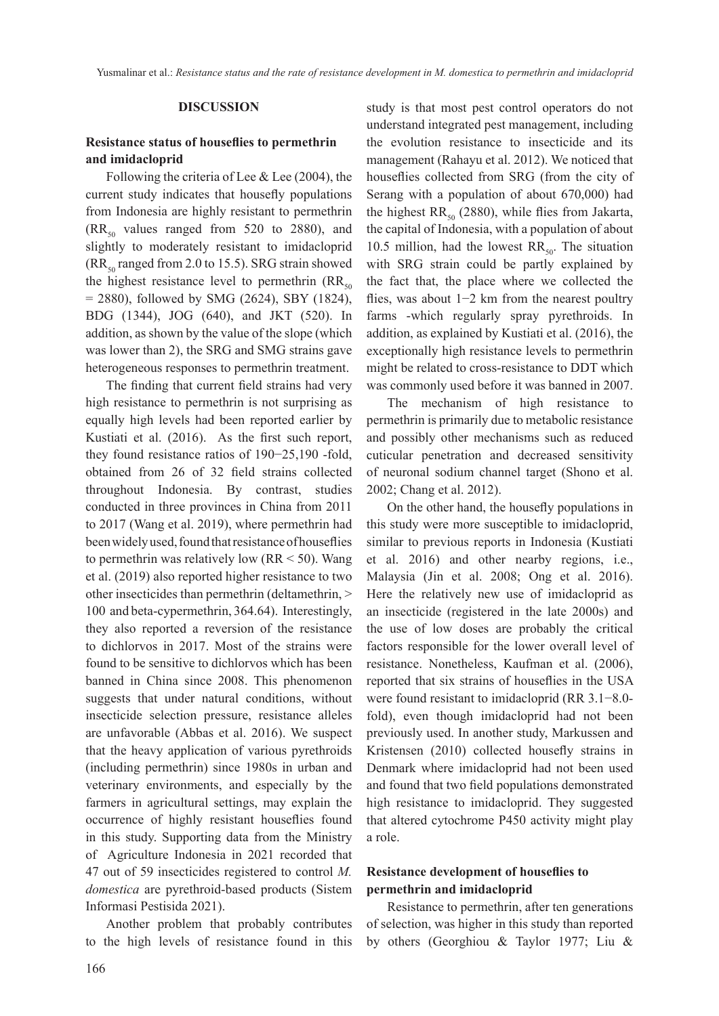## **DISCUSSION**

# **Resistance status of houseflies to permethrin and imidacloprid**

Following the criteria of Lee & Lee (2004), the current study indicates that housefly populations from Indonesia are highly resistant to permethrin  $(RR<sub>50</sub>$  values ranged from 520 to 2880), and slightly to moderately resistant to imidacloprid  $(RR<sub>so</sub> ranged from 2.0 to 15.5)$ . SRG strain showed the highest resistance level to permethrin  $(RR_{50})$  $= 2880$ ), followed by SMG (2624), SBY (1824), BDG (1344), JOG (640), and JKT (520). In addition, as shown by the value of the slope (which was lower than 2), the SRG and SMG strains gave heterogeneous responses to permethrin treatment.

The finding that current field strains had very high resistance to permethrin is not surprising as equally high levels had been reported earlier by Kustiati et al. (2016). As the first such report, they found resistance ratios of 190−25,190 -fold, obtained from 26 of 32 field strains collected throughout Indonesia. By contrast, studies conducted in three provinces in China from 2011 to 2017 (Wang et al. 2019), where permethrin had been widely used, found that resistance of houseflies to permethrin was relatively low ( $RR < 50$ ). Wang et al. (2019) also reported higher resistance to two other insecticides than permethrin (deltamethrin, > 100 and beta-cypermethrin, 364.64). Interestingly, they also reported a reversion of the resistance to dichlorvos in 2017. Most of the strains were found to be sensitive to dichlorvos which has been banned in China since 2008. This phenomenon suggests that under natural conditions, without insecticide selection pressure, resistance alleles are unfavorable (Abbas et al. 2016). We suspect that the heavy application of various pyrethroids (including permethrin) since 1980s in urban and veterinary environments, and especially by the farmers in agricultural settings, may explain the occurrence of highly resistant houseflies found in this study. Supporting data from the Ministry of Agriculture Indonesia in 2021 recorded that 47 out of 59 insecticides registered to control *M. domestica* are pyrethroid-based products (Sistem Informasi Pestisida 2021).

Another problem that probably contributes to the high levels of resistance found in this study is that most pest control operators do not understand integrated pest management, including the evolution resistance to insecticide and its management (Rahayu et al. 2012). We noticed that houseflies collected from SRG (from the city of Serang with a population of about 670,000) had the highest  $RR_{50}$  (2880), while flies from Jakarta, the capital of Indonesia, with a population of about 10.5 million, had the lowest  $RR_{50}$ . The situation with SRG strain could be partly explained by the fact that, the place where we collected the flies, was about 1−2 km from the nearest poultry farms -which regularly spray pyrethroids. In addition, as explained by Kustiati et al. (2016), the exceptionally high resistance levels to permethrin might be related to cross-resistance to DDT which was commonly used before it was banned in 2007.

The mechanism of high resistance to permethrin is primarily due to metabolic resistance and possibly other mechanisms such as reduced cuticular penetration and decreased sensitivity of neuronal sodium channel target (Shono et al. 2002; Chang et al. 2012).

On the other hand, the housefly populations in this study were more susceptible to imidacloprid, similar to previous reports in Indonesia (Kustiati et al. 2016) and other nearby regions, i.e., Malaysia (Jin et al. 2008; Ong et al. 2016). Here the relatively new use of imidacloprid as an insecticide (registered in the late 2000s) and the use of low doses are probably the critical factors responsible for the lower overall level of resistance. Nonetheless, Kaufman et al. (2006), reported that six strains of houseflies in the USA were found resistant to imidacloprid (RR 3.1−8.0 fold), even though imidacloprid had not been previously used. In another study, Markussen and Kristensen (2010) collected housefly strains in Denmark where imidacloprid had not been used and found that two field populations demonstrated high resistance to imidacloprid. They suggested that altered cytochrome P450 activity might play a role.

# **Resistance development of houseflies to permethrin and imidacloprid**

Resistance to permethrin, after ten generations of selection, was higher in this study than reported by others (Georghiou & Taylor 1977; Liu &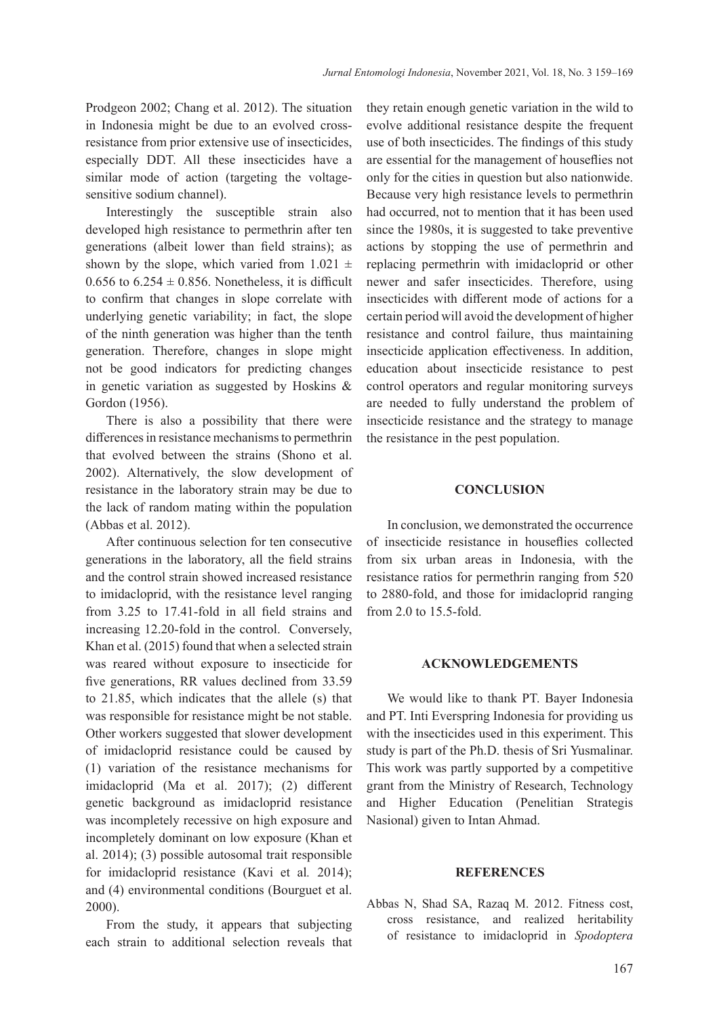Prodgeon 2002; Chang et al. 2012). The situation in Indonesia might be due to an evolved crossresistance from prior extensive use of insecticides, especially DDT. All these insecticides have a similar mode of action (targeting the voltagesensitive sodium channel).

Interestingly the susceptible strain also developed high resistance to permethrin after ten generations (albeit lower than field strains); as shown by the slope, which varied from  $1.021 \pm$ 0.656 to  $6.254 \pm 0.856$ . Nonetheless, it is difficult to confirm that changes in slope correlate with underlying genetic variability; in fact, the slope of the ninth generation was higher than the tenth generation. Therefore, changes in slope might not be good indicators for predicting changes in genetic variation as suggested by Hoskins & Gordon (1956).

There is also a possibility that there were differences in resistance mechanisms to permethrin that evolved between the strains (Shono et al. 2002). Alternatively, the slow development of resistance in the laboratory strain may be due to the lack of random mating within the population (Abbas et al. 2012).

After continuous selection for ten consecutive generations in the laboratory, all the field strains and the control strain showed increased resistance to imidacloprid, with the resistance level ranging from 3.25 to 17.41-fold in all field strains and increasing 12.20-fold in the control. Conversely, Khan et al. (2015) found that when a selected strain was reared without exposure to insecticide for five generations, RR values declined from 33.59 to 21.85, which indicates that the allele (s) that was responsible for resistance might be not stable. Other workers suggested that slower development of imidacloprid resistance could be caused by (1) variation of the resistance mechanisms for imidacloprid (Ma et al. 2017); (2) different genetic background as imidacloprid resistance was incompletely recessive on high exposure and incompletely dominant on low exposure (Khan et al. 2014); (3) possible autosomal trait responsible for imidacloprid resistance (Kavi et al*.* 2014); and (4) environmental conditions (Bourguet et al. 2000).

From the study, it appears that subjecting each strain to additional selection reveals that they retain enough genetic variation in the wild to evolve additional resistance despite the frequent use of both insecticides. The findings of this study are essential for the management of houseflies not only for the cities in question but also nationwide. Because very high resistance levels to permethrin had occurred, not to mention that it has been used since the 1980s, it is suggested to take preventive actions by stopping the use of permethrin and replacing permethrin with imidacloprid or other newer and safer insecticides. Therefore, using insecticides with different mode of actions for a certain period will avoid the development of higher resistance and control failure, thus maintaining insecticide application effectiveness. In addition, education about insecticide resistance to pest control operators and regular monitoring surveys are needed to fully understand the problem of insecticide resistance and the strategy to manage the resistance in the pest population.

## **CONCLUSION**

In conclusion, we demonstrated the occurrence of insecticide resistance in houseflies collected from six urban areas in Indonesia, with the resistance ratios for permethrin ranging from 520 to 2880-fold, and those for imidacloprid ranging from 2.0 to 15.5-fold.

#### **ACKNOWLEDGEMENTS**

We would like to thank PT. Bayer Indonesia and PT. Inti Everspring Indonesia for providing us with the insecticides used in this experiment. This study is part of the Ph.D. thesis of Sri Yusmalinar. This work was partly supported by a competitive grant from the Ministry of Research, Technology and Higher Education (Penelitian Strategis Nasional) given to Intan Ahmad.

## **REFERENCES**

Abbas N, Shad SA, Razaq M. 2012. Fitness cost, cross resistance, and realized heritability of resistance to imidacloprid in *Spodoptera*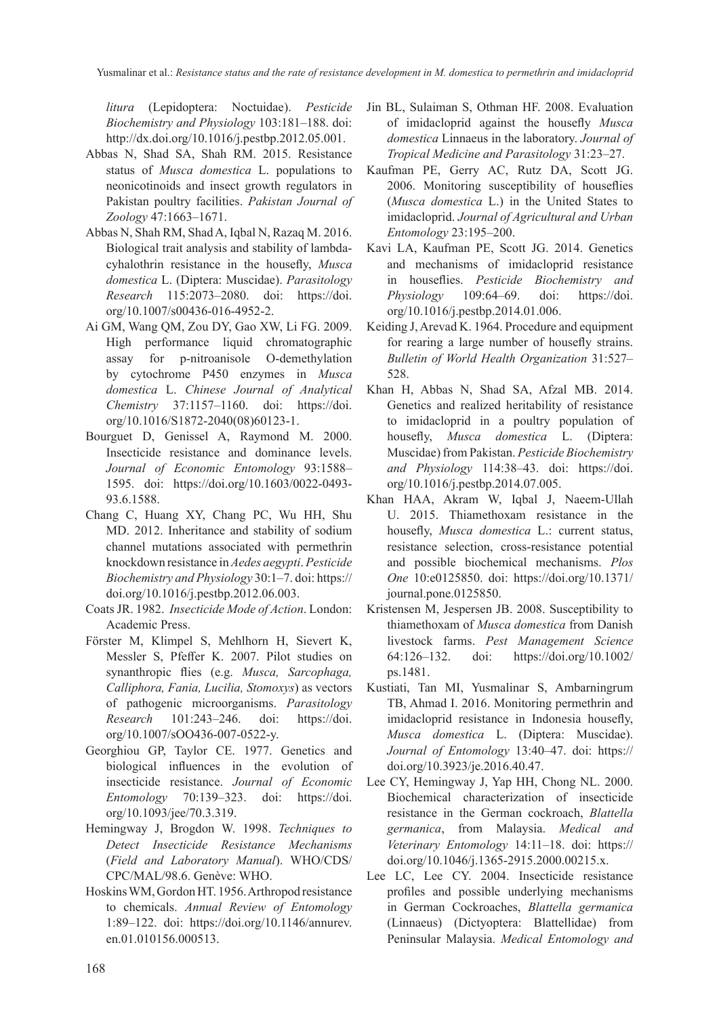*litura* (Lepidoptera: Noctuidae). *Pesticide Biochemistry and Physiology* 103:181–188. doi: http://dx.doi.org/10.1016/j.pestbp.2012.05.001.

- Abbas N, Shad SA, Shah RM. 2015. Resistance status of *Musca domestica* L. populations to neonicotinoids and insect growth regulators in Pakistan poultry facilities. *Pakistan Journal of Zoology* 47:1663–1671.
- Abbas N, Shah RM, Shad A, Iqbal N, Razaq M. 2016. Biological trait analysis and stability of lambdacyhalothrin resistance in the housefly, *Musca domestica* L. (Diptera: Muscidae). *Parasitology Research* 115:2073–2080. doi: https://doi. org/10.1007/s00436-016-4952-2.
- Ai GM, Wang QM, Zou DY, Gao XW, Li FG. 2009. High performance liquid chromatographic assay for p-nitroanisole O-demethylation by cytochrome P450 enzymes in *Musca domestica* L. *Chinese Journal of Analytical Chemistry* 37:1157–1160. doi: https://doi. org/10.1016/S1872-2040(08)60123-1.
- Bourguet D, Genissel A, Raymond M. 2000. Insecticide resistance and dominance levels. *Journal of Economic Entomology* 93:1588– 1595. doi: https://doi.org/10.1603/0022-0493- 93.6.1588.
- Chang C, Huang XY, Chang PC, Wu HH, Shu MD. 2012. Inheritance and stability of sodium channel mutations associated with permethrin knockdown resistance in *Aedes aegypti*. *Pesticide Biochemistry and Physiology* 30:1–7. doi: https:// doi.org/10.1016/j.pestbp.2012.06.003.
- Coats JR. 1982. *Insecticide Mode of Action*. London: Academic Press.
- Förster M, Klimpel S, Mehlhorn H, Sievert K, Messler S, Pfeffer K. 2007. Pilot studies on synanthropic flies (e.g. *Musca, Sarcophaga, Calliphora, Fania, Lucilia, Stomoxys*) as vectors of pathogenic microorganisms. *Parasitology Research* 101:243–246. doi: https://doi. org/10.1007/sOO436-007-0522-y.
- Georghiou GP, Taylor CE. 1977. Genetics and biological influences in the evolution of insecticide resistance. *Journal of Economic Entomology* 70:139–323. doi: https://doi. org/10.1093/jee/70.3.319.
- Hemingway J, Brogdon W. 1998. *Techniques to Detect Insecticide Resistance Mechanisms*  (*Field and Laboratory Manual*). WHO/CDS/ CPC/MAL/98.6. Genève: WHO.
- Hoskins WM, Gordon HT. 1956. Arthropod resistance to chemicals. *Annual Review of Entomology* 1:89–122. doi: https://doi.org/10.1146/annurev. en.01.010156.000513.
- Jin BL, Sulaiman S, Othman HF. 2008. Evaluation of imidacloprid against the housefly *Musca domestica* Linnaeus in the laboratory. *Journal of Tropical Medicine and Parasitology* 31:23–27.
- Kaufman PE, Gerry AC, Rutz DA, Scott JG. 2006. Monitoring susceptibility of houseflies (*Musca domestica* L.) in the United States to imidacloprid. *Journal of Agricultural and Urban Entomology* 23:195–200.
- Kavi LA, Kaufman PE, Scott JG. 2014. Genetics and mechanisms of imidacloprid resistance in houseflies. *Pesticide Biochemistry and Physiology* 109:64–69. doi: https://doi. org/10.1016/j.pestbp.2014.01.006.
- Keiding J, Arevad K. 1964. Procedure and equipment for rearing a large number of housefly strains. *Bulletin of World Health Organization* 31:527– 528.
- Khan H, Abbas N, Shad SA, Afzal MB. 2014. Genetics and realized heritability of resistance to imidacloprid in a poultry population of housefly, *Musca domestica* L. (Diptera: Muscidae) from Pakistan. *Pesticide Biochemistry and Physiology* 114:38–43. doi: https://doi. org/10.1016/j.pestbp.2014.07.005.
- Khan HAA, Akram W, Iqbal J, Naeem-Ullah U. 2015. Thiamethoxam resistance in the housefly, *Musca domestica* L.: current status, resistance selection, cross-resistance potential and possible biochemical mechanisms. *Plos One* 10:e0125850. doi: https://doi.org/10.1371/ journal.pone.0125850.
- Kristensen M, Jespersen JB. 2008. Susceptibility to thiamethoxam of *Musca domestica* from Danish livestock farms. *Pest Management Science* 64:126–132. doi: https://doi.org/10.1002/ ps.1481.
- Kustiati, Tan MI, Yusmalinar S, Ambarningrum TB, Ahmad I. 2016. Monitoring permethrin and imidacloprid resistance in Indonesia housefly, *Musca domestica* L. (Diptera: Muscidae). *Journal of Entomology* 13:40–47. doi: https:// doi.org/10.3923/je.2016.40.47.
- Lee CY, Hemingway J, Yap HH, Chong NL. 2000. Biochemical characterization of insecticide resistance in the German cockroach, *Blattella germanica*, from Malaysia. *Medical and Veterinary Entomology* 14:11–18. doi: https:// doi.org/10.1046/j.1365-2915.2000.00215.x.
- Lee LC, Lee CY. 2004. Insecticide resistance profiles and possible underlying mechanisms in German Cockroaches, *Blattella germanica* (Linnaeus) (Dictyoptera: Blattellidae) from Peninsular Malaysia. *Medical Entomology and*